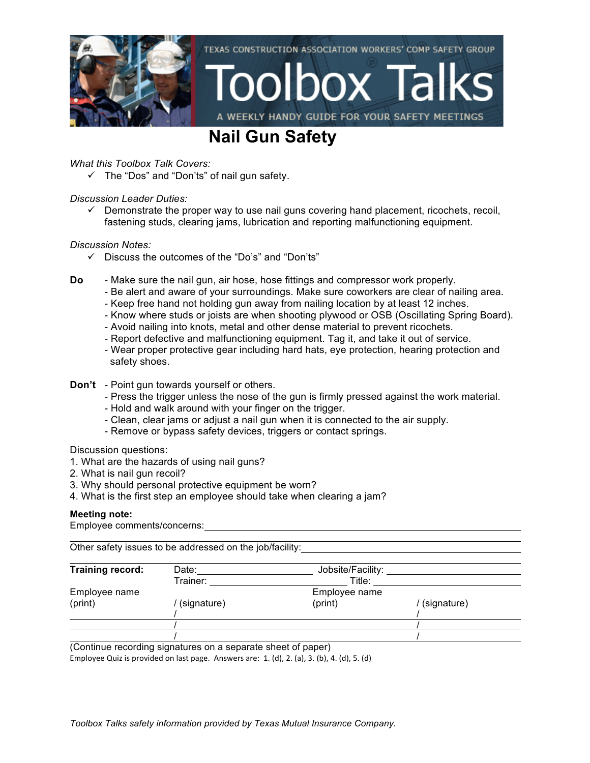

### **Nail Gun Safety**

*What this Toolbox Talk Covers:*

 $\checkmark$  The "Dos" and "Don'ts" of nail gun safety.

### *Discussion Leader Duties:*

 $\checkmark$  Demonstrate the proper way to use nail guns covering hand placement, ricochets, recoil, fastening studs, clearing jams, lubrication and reporting malfunctioning equipment.

### *Discussion Notes:*

- $\checkmark$  Discuss the outcomes of the "Do's" and "Don'ts"
- **Do** Make sure the nail gun, air hose, hose fittings and compressor work properly.
	- Be alert and aware of your surroundings. Make sure coworkers are clear of nailing area.
	- Keep free hand not holding gun away from nailing location by at least 12 inches.
	- Know where studs or joists are when shooting plywood or OSB (Oscillating Spring Board).
	- Avoid nailing into knots, metal and other dense material to prevent ricochets.
	- Report defective and malfunctioning equipment. Tag it, and take it out of service.
	- Wear proper protective gear including hard hats, eye protection, hearing protection and safety shoes.

#### **Don't** - Point gun towards yourself or others.

- Press the trigger unless the nose of the gun is firmly pressed against the work material.
- Hold and walk around with your finger on the trigger.
- Clean, clear jams or adjust a nail gun when it is connected to the air supply.
- Remove or bypass safety devices, triggers or contact springs.

Discussion questions:

- 1. What are the hazards of using nail guns?
- 2. What is nail gun recoil?
- 3. Why should personal protective equipment be worn?
- 4. What is the first step an employee should take when clearing a jam?

### **Meeting note:**

Employee comments/concerns:

Other safety issues to be addressed on the job/facility:

| Training record: | Date:       | Jobsite/Facility: |             |
|------------------|-------------|-------------------|-------------|
|                  | Trainer:    | Title:            |             |
| Employee name    |             | Employee name     |             |
| (print)          | (signature) | (print)           | (signature) |
|                  |             |                   |             |
|                  |             |                   |             |
|                  |             |                   |             |

(Continue recording signatures on a separate sheet of paper)

Employee Quiz is provided on last page. Answers are:  $1.$  (d),  $2.$  (a),  $3.$  (b),  $4.$  (d),  $5.$  (d)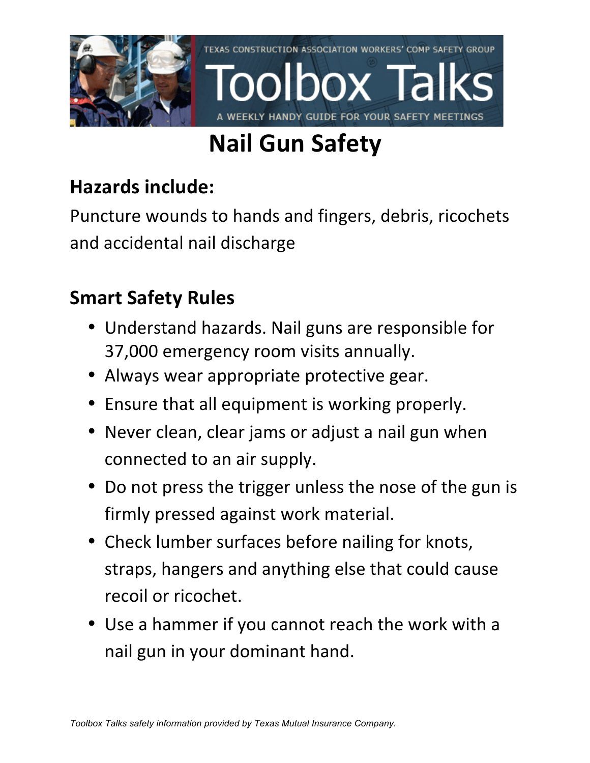

# **Nail Gun Safety**

## **Hazards include:**

Puncture wounds to hands and fingers, debris, ricochets and accidental nail discharge

## **Smart Safety Rules**

- Understand hazards. Nail guns are responsible for 37,000 emergency room visits annually.
- Always wear appropriate protective gear.
- Ensure that all equipment is working properly.
- Never clean, clear jams or adjust a nail gun when connected to an air supply.
- Do not press the trigger unless the nose of the gun is firmly pressed against work material.
- Check lumber surfaces before nailing for knots, straps, hangers and anything else that could cause recoil or ricochet.
- Use a hammer if you cannot reach the work with a nail gun in your dominant hand.